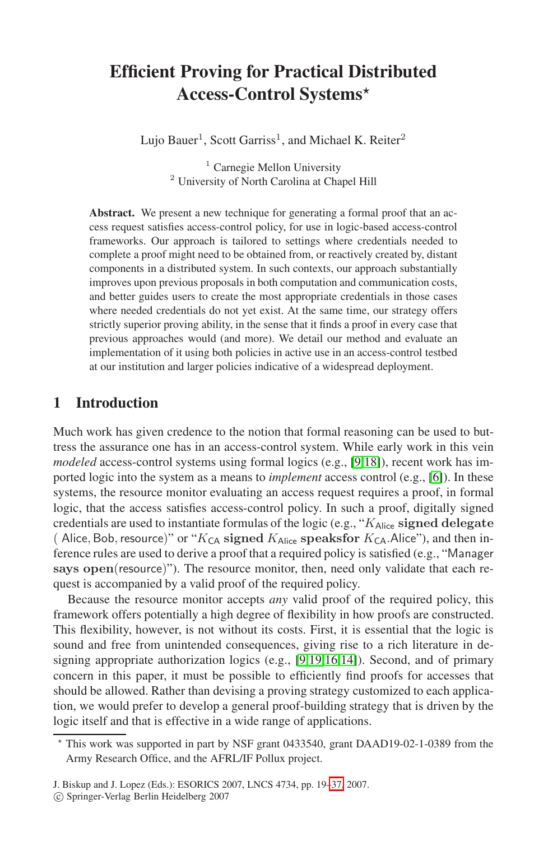# **Efficient Proving for Practical Distributed Access-Control Systems***-*

Lujo Bauer<sup>1</sup>, Scott Garriss<sup>1</sup>, and Michael K. Reiter<sup>2</sup>

<sup>1</sup> Carnegie Mellon University <sup>2</sup> University of North Carolina at Chapel Hill

**Abstract.** We present a new technique for generating a formal proof that an access request satisfies access-control policy, for use in logic-based access-control frameworks. Our approach is tailored to settings where credentials needed to complete a proof might need to be obtained from, or reactively created by, distant components in a distributed system. In such contexts, our approach substantially improves upon previous proposals in both computation and communication costs, and better guides users to create the most appropriate credentials in those cases where needed credentials do not yet exist. At the same time, our strategy offers strictly superior proving ability, in the sense that it finds a proof in every case that previous approaches would (and [mo](#page-17-0)[re\).](#page-18-0) We detail our method and evaluate an implementation of it using both policies in active us[e i](#page-17-1)n an access-control testbed at our institution and larger policies indicative of a widespread deployment.

# <span id="page-0-0"></span>**1 Introduction**

Much work has given credence to the notion that formal reasoning can be used to buttress the assurance one has in an access-control system. While early work in this vein *modeled* access-control systems using formal logics (e.g., [9,18]), recent work has imported logic into the system as a means to *implement* access control (e.g., [6]). In these systems, the resource monitor evaluating an access request requires a proof, in formal logic, that the access satisfies access-control policy. In such a proof, digitally signed credentials are used to instantiate formulas of the logic (e.g., "KAlice **signed delegate** ( Alice, Bob, resource)" or " $K_{CA}$  $K_{CA}$  $K_{CA}$  $K_{CA}$  **[si](#page-18-2)[gne](#page-18-3)d**  $K_{Alice}$  **speaksfor**  $K_{CA}$ .Alice"), and then inference rules are used to derive a proof that a required policy is satisfied (e.g., "Manager **says open**(resource)"). The resource monitor, then, need only validate that each request is accompanied by a valid proof of the required policy.

Because the resource monitor accepts *any* valid proof of the required policy, this framework offers potentially a high degree of flexibility in how proofs are constructed. This flexibility, however, is not without its costs. First, it is essential that the logic is sound and free from unintended consequences, giving rise to a rich literature in designing appropriate authorizatio[n lo](#page-18-4)gics (e.g., [9,19,16,14]). Second, and of primary concern in this paper, it must be possible to efficiently find proofs for accesses that should be allowed. Rather than devising a proving strategy customized to each application, we would prefer to develop a general proof-building strategy that is driven by the logic itself and that is effective in a wide range of applications.

 $\star$  This work was supported in part by NSF grant 0433540, grant DAAD19-02-1-0389 from the Army Research Office, and the AFRL/IF Pollux project.

J. Biskup and J. Lopez (Eds.): ESORICS 2007, LNCS 4734, pp. 19–37, 2007.

<sup>-</sup>c Springer-Verlag Berlin Heidelberg 2007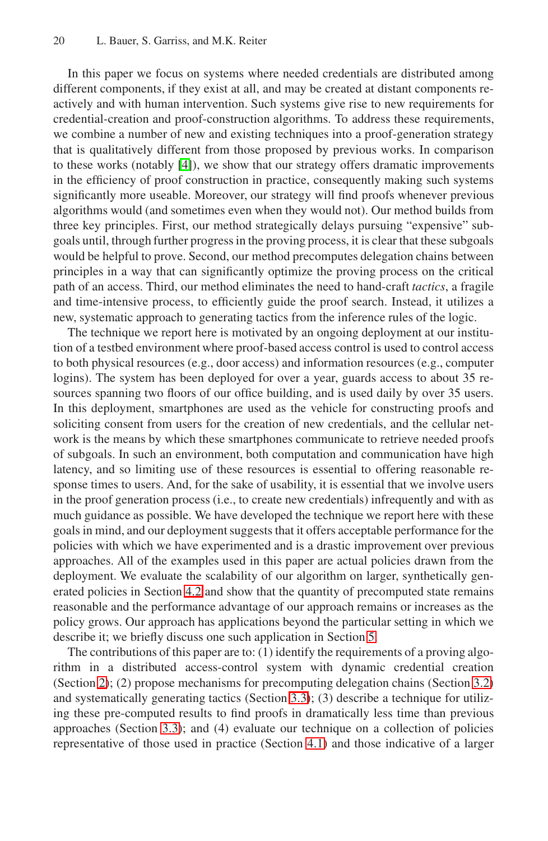In this paper we focus on systems where needed credentials are distributed among different components, if they exist at all, and may be created at distant components reactively and with human intervention. Such systems give rise to new requirements for credential-creation and proof-construction algorithms. To address these requirements, we combine a number of new and existing techniques into a proof-generation strategy that is qualitatively different from those proposed by previous works. In comparison to these works (notably [4]), we show that our strategy offers dramatic improvements in the efficiency of proof construction in practice, consequently making such systems significantly more useable. Moreover, our strategy will find proofs whenever previous algorithms would (and sometimes even when they would not). Our method builds from three key principles. First, our method strategically delays pursuing "expensive" subgoals until, through further progress in the proving process, it is clear that these subgoals would be helpful to prove. Second, our method precomputes delegation chains between principles in a way that can significantly optimize the proving process on the critical path of an access. Third, our method eliminates the need to hand-craft *tactics*, a fragile and time-intensive process, to efficiently guide the proof search. Instead, it utilizes a new, systematic approach to generating tactics from the inference rules of the logic.

The technique we report here is motivated by an ongoing deployment at our institution of a testbed environment where proof-based access control is used to control access to both physical resources (e.g., door access) and information resources (e.g., computer logins). The system has been deployed for over a year, guards access to about 35 resources spanning two floors of our office building, and is used daily by over 35 users. In this deployment, smartphones are used as the vehicle for constructing proofs and soliciting consent from users for the creation of new credentials, and the cellular network is the means by which these smartphones communicate to retrieve needed proofs of subgoals. In such an environment, both computation and communication have high laten[cy, a](#page-14-0)nd so limiting use of these resources is essential to offering reasonable response times to users. And, for the sake of usability, it is essential that we involve users in the proof generation process (i.e., to create new credentials) infrequently and with as much guidance as possible. We have dev[elo](#page-15-0)ped the technique we report here with these goals in mind, and our deployment suggests that it offers acceptable performance for the policies with which we have experimented and is a drastic improvement over previous approaches. All of the examples used in this paper are actua[l pol](#page-6-0)icies drawn from the deployment. We evaluate [the](#page-9-0) scalability of our algorithm on larger, synthetically generated policies in Section 4.2 and show that the quantity of precomputed state remains [reaso](#page-8-0)nable and the performance advantage of our approach remains or increases as the policy grows. Our approach [has a](#page-12-0)pplications beyond the particular setting in which we describe it; we briefly discuss one such application in Section 5.

The contributions of this paper are to: (1) identify the requirements of a proving algorithm in a distributed access-control system with dynamic credential creation (Section 2); (2) propose mechanisms for precomputing delegation chains (Section 3.2) and systematically generating tactics (Section 3.3); (3) describe a technique for utilizing these pre-computed results to find proofs in dramatically less time than previous approaches (Section 3.3); and (4) evaluate our technique on a collection of policies representative of those used in practice (Section 4.1) and those indicative of a larger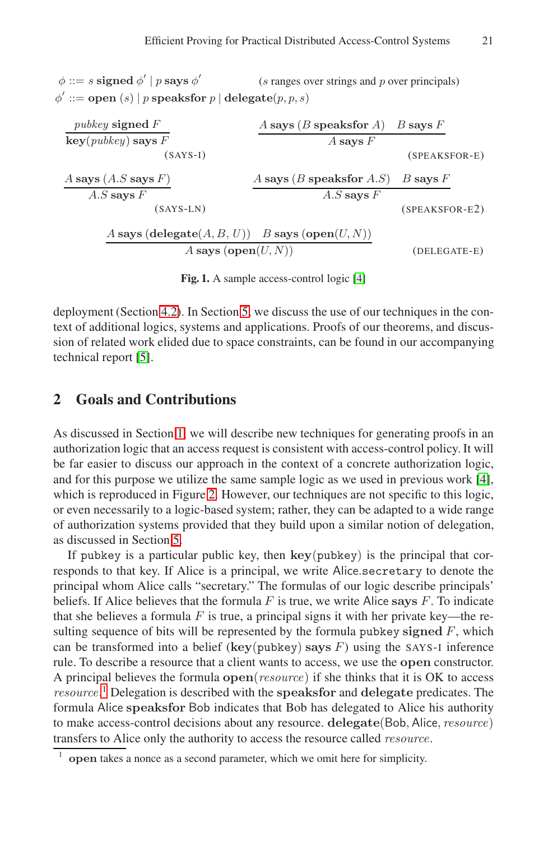$\phi ::= s \text{ signed } \phi' \mid p \text{ says } \phi'$  $\phi' ::= \textbf{open}(s) | p \textbf{ speakersfor } p | \textbf{delegate}(p, p, s)$  $(s$  ranges over strings and  $p$  over principals)

pubkey **signed** F **key**(pubkey) **says** F (SAYS-I) A **says** (A.S **says** F) A.S **says** [F](#page-15-0)  $(SAYS-LN)$  $A$  **says** (*B* **speaksfor** *A*) *B* **says** *F* A **says** F (SPEAKSFOR-E) A **says** (B **speaksfor** A.S) B **says** F A.S **says** F (SPEAKSFOR-E2)  $A$  **says** (**delegate** $(A, B, U)$ )  $B$  **says** (**open** $(U, N)$ ) A **says** (**open**(U, N)) (DELEGATE-E)

Fig. 1. A sample access-control logic [4]

de[plo](#page-0-0)yment (Section 4.2). In Section 5, we discuss the use of our techniques in the context of additional logics, systems and applications. Proofs of our theorems, and discussion of related work elided due to space constraints, can be found in our accompanying technical report [5].

# **2 Goals and Contributions**

A[s](#page-15-0) [d](#page-15-0)iscussed in Section 1, we will describe new techniques for generating proofs in an authorization logic that an access request is consistent with access-control policy. It will be far easier to discuss our approach in the context of a concrete authorization logic, and for this purpose we utilize the same sample logic as we used in previous work [4], which is reproduced in Figure 2. However, our techniques are not specific to this logic, or even necessarily to a logic-based system; rather, they can be adapted to a wide range of authorization systems provided that they build upon a similar notion of delegation, as discussed in Section 5.

If pubkey is a particular public key, then **key**(pubkey) is the principal that corresponds to that key. If Alice is a principal, we write Alice.secretary to denote the principal whom Alice calls "secretary." The formulas of our logic describe principals' beliefs. If Alice believes that the formula F is true, we write Alice **says** F. To indicate that she believes a formula  $F$  is true, a principal signs it with her private key—the resulting sequence of bits will be represented by the formula pubkey signed  $F$ , which can be transformed into a belief (**key**(pubkey) **says** F) using the SAYS-I inference rule. To describe a resource that a client wants to access, we use the **open** constructor. A principal believes the formula **open**(resource) if she thinks that it is OK to access resource. <sup>1</sup> Delegation is described with the **speaksfor** and **delegate** predicates. The formula Alice **speaksfor** Bob indicates that Bob has delegated to Alice his authority to make access-control decisions about any resource. **delegate**(Bob, Alice, resource) transfers to Alice only the authority to access the resource called resource.

**open** takes a nonce as a second parameter, which we omit here for simplicity.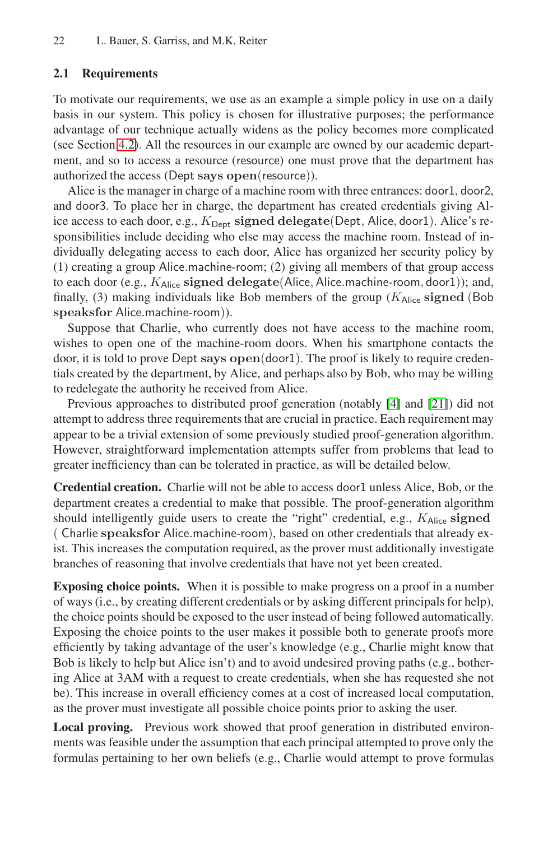#### <span id="page-3-0"></span>**2.1 Requirements**

To motivate our requirements, we use as an example a simple policy in use on a daily basis in our system. This policy is chosen for illustrative purposes; the performance advantage of our technique actually widens as the policy becomes more complicated (see Section 4.2). All the resources in our example are owned by our academic department, and so to access a resource (resource) one must prove that the department has authorized the access (Dept **says open**(resource)).

Alice is the manager in charge of a machine room with three entrances: door1, door2, and door3. To place her in charge, the department has created credentials giving Alice access to each door, e.g.,  $K_{\text{Dept}}$  **signed delegate**(Dept, Alice, door1). Alice's responsibilities include deciding who else may access the machine room. Instead of individually delegating access to each door, Alice has organized her security policy by (1) creating a group Alice.machine-room; (2) giving all members of that group access to each door (e.g., KAlice **signed delegate**([A](#page-17-2)lice, A[lice](#page-18-5).machine-room, door1)); and, finally, (3) making individuals like Bob members of the group  $(K_{Alice}$  **signed** (Bob **speaksfor** Alice.machine-room)).

Suppose that Charlie, who currently does not have access to the machine room, wishes to open one of the machine-room doors. When his smartphone contacts the door, it is told to prove Dept **says open**(door1). The proof is likely to require credentials created by the department, by Alice, and perhaps also by Bob, who may be willing to redelegate the authority he received from Alice.

Previous approaches to distributed proof generation (notably [4] and [21]) did not attempt to address three requirements that are crucial in practice. Each requirement may appear to be a trivial extension of some previously studied proof-generation algorithm. However, straightforward implementation attempts suffer from problems that lead to greater inefficiency than can be tolerated in practice, as will be detailed below.

**Credential creation.** Charlie will not be able to access door1 unless Alice, Bob, or the department creates a credential to make that possible. The proof-generation algorithm should intelligently guide users to create the "right" credential, e.g., KAlice **signed** ( Charlie **speaksfor** Alice.machine-room), based on other credentials that already exist. This increases the computation required, as the prover must additionally investigate branches of reasoning that involve credentials that have not yet been created.

**Exposing choice points.** When it is possible to make progress on a proof in a number of ways (i.e., by creating different credentials or by asking different principals for help), the choice points should be exposed to the user instead of being followed automatically. Exposing the choice points to the user makes it possible both to generate proofs more efficiently by taking advantage of the user's knowledge (e.g., Charlie might know that Bob is likely to help but Alice isn't) and to avoid undesired proving paths (e.g., bothering Alice at 3AM with a request to create credentials, when she has requested she not be). This increase in overall efficiency comes at a cost of increased local computation, as the prover must investigate all possible choice points prior to asking the user.

**Local proving.** Previous work showed that proof generation in distributed environments was feasible under the assumption that each principal attempted to prove only the formulas pertaining to her own beliefs (e.g., Charlie would attempt to prove formulas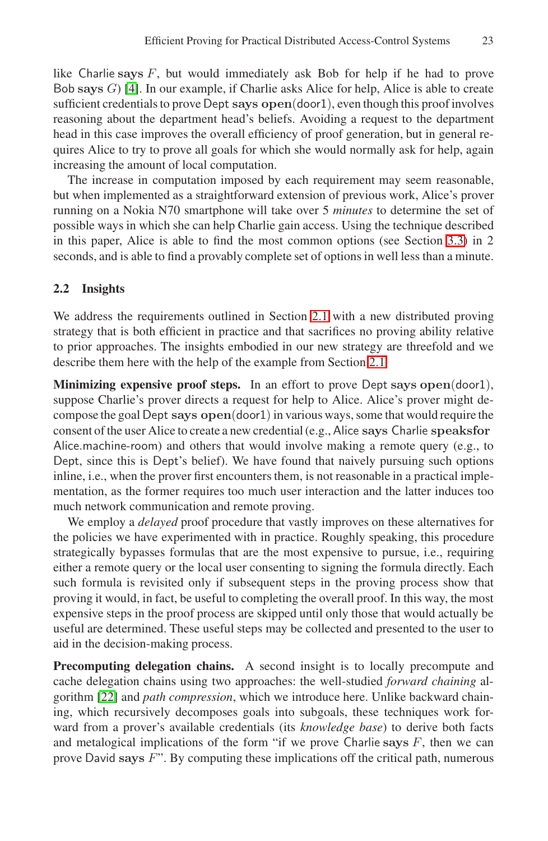like Charlie **says** F, but would immediately ask Bob for help if he had to prove Bob **says** G) [4]. In our example, if Charlie asks Alice for help, Alice is able to create sufficient credentials to prove Dept **says open**(door1), even though this proof involves reasoning about the department head's beliefs. Avoidin[g a](#page-10-0) request to the department head in this case improves the overall efficiency of proof generation, but in general requires Alice to try to prove all goals for which she would normally ask for help, again increasing the amount of local computation.

The increase in computation imposed by each requirement may seem reasonable, but when implemented as a st[raig](#page-3-0)htforward extension of previous work, Alice's prover running on a Nokia N70 smartphone will take over 5 *minutes* to determine the set of possible ways in which she can help Charlie gain access. Using the technique described in this paper, Alice is able to find the [most](#page-3-0) common options (see Section 3.3) in 2 seconds, and is able to find a provably complete set of options in well less than a minute.

#### **2.2 Insights**

We address the requirements outlined in Section 2.1 with a new distributed proving strategy that is both efficient in practice and that sacrifices no proving ability relative to prior approaches. The insights embodied in our new strategy are threefold and we describe them here with the help of the example from Section 2.1.

**Minimizing expensive proof steps.** In an effort to prove Dept **says open**(door1), suppose Charlie's prover directs a request for help to Alice. Alice's prover might decompose the goal Dept **says open**(door1)in various ways, some that would require the consent of the user Alice to create a new credential (e.g.,Alice **says** Charlie **speaksfor** Alice.machine-room) and others that would involve making a remote query (e.g., to Dept, since this is Dept's belief). We have found that naively pursuing such options inline, i.e., when the prover first encounters them, is not reasonable in a practical implementation, as the former requires too much user interaction and the latter induces too much network communication and remote proving.

We employ a *delayed* proof procedure that vastly improves on these alternatives for the policies we have experimented with in practice. Roughly speaking, this procedure strategically bypasses formulas that are the most expensive to pursue, i.e., requiring either a remote query or the local user consenting to signing the formula directly. Each such formula is revisited only if subsequent steps in the proving process show that proving it would, in fact, be useful to completing the overall proof. In this way, the most expensive steps in the proof process are skipped until only those that would actually be useful are determined. These useful steps may be collected and presented to the user to aid in the decision-making process.

**Precomputing delegation chains.** A second insight is to locally precompute and cache delegation chains using two approaches: the well-studied *forward chaining* algorithm [22] and *path compression*, which we introduce here. Unlike backward chaining, which recursively decomposes goals into subgoals, these techniques work forward from a prover's available credentials (its *knowledge base*) to derive both facts and metalogical implications of the form "if we prove Charlie **says** F, then we can prove David **says** F". By computing these implications off the critical path, numerous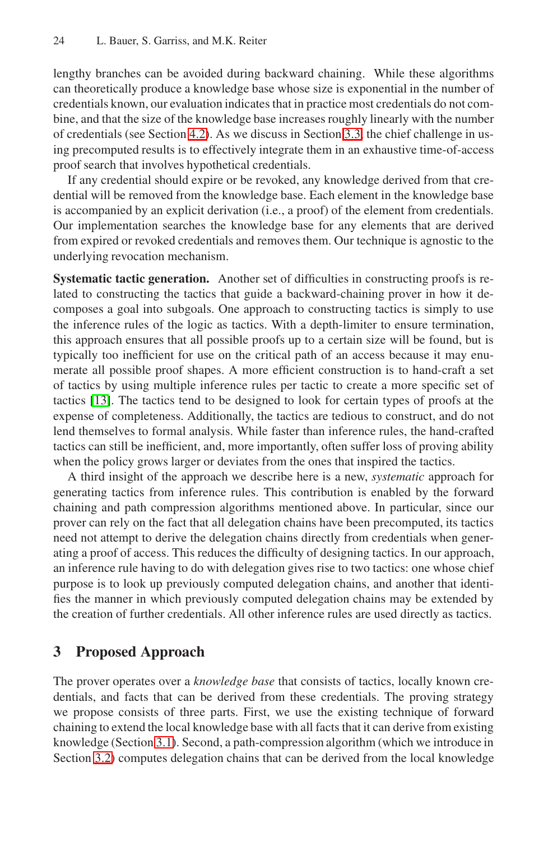lengthy branches can be avoided during backward chaining. While these algorithms can theoretically produce a knowledge base whose size is exponential in the number of credentials known, our evaluation indicates that in practice most credentials do not combine, and that the size of the knowledge base increases roughly linearly with the number of credentials (see Section 4.2). As we discuss in Section 3.3, the chief challenge in using precomputed results is to effectively integrate them in an exhaustive time-of-access proof search that involves hypothetical credentials.

If any credential should expire or be revoked, any knowledge derived from that credential will be removed from the knowledge base. Each element in the knowledge base is accompanied by an explicit derivation (i.e., a proof) of the element from credentials. Our implementation searches the knowledge base for any elements that are derived from expired or revoked credentials and removes them. Our technique is agnostic to the underlying revocation mechanism.

**Systematic tactic generation.** Another set of difficulties in constructing proofs is related to constructing the tactics that guide a backward-chaining prover in how it decomposes a goal into subgoals. One approach to constructing tactics is simply to use the inference rules of the logic as tactics. With a depth-limiter to ensure termination, this approach ensures that all possible proofs up to a certain size will be found, but is typically too inefficient for use on the critical path of an access because it may enumerate all possible proof shapes. A more efficient construction is to hand-craft a set of tactics by using multiple inference rules per tactic to create a more specific set of tactics [13]. The tactics tend to be designed to look for certain types of proofs at the expense of completeness. Additionally, the tactics are tedious to construct, and do not lend themselves to formal analysis. While faster than inference rules, the hand-crafted tactics can still be inefficient, and, more importantly, often suffer loss of proving ability when the policy grows larger or deviates from the ones that inspired the tactics.

A third insight of the approach we describe here is a new, *systematic* approach for generating tactics from inference rules. This contribution is enabled by the forward chaining and path compression algorithms mentioned above. In particular, since our prover can rely on the fact that all delegation chains have been precomputed, its tactics need not attempt to derive the delegation chains directly from credentials when generating a proof of access. This reduces the difficulty of designing tactics. In our approach, an inference rule having to do with delegation gives rise to two tactics: one whose chief purpose is to look up previously computed delegation chains, and another that identifies the manner in which previously computed delegation chains may be extended by [the](#page-6-1) creation of further credentials. All other inference rules are used directly as tactics.

# **3 Proposed Approach**

The prover operates over a *knowledge base* that consists of tactics, locally known credentials, and facts that can be derived from these credentials. The proving strategy we propose consists of three parts. First, we use the existing technique of forward chaining to extend the local knowledge base with all facts that it can derive from existing knowledge (Section 3.1). Second, a path-compression algorithm (which we introduce in Section 3.2) computes delegation chains that can be derived from the local knowledge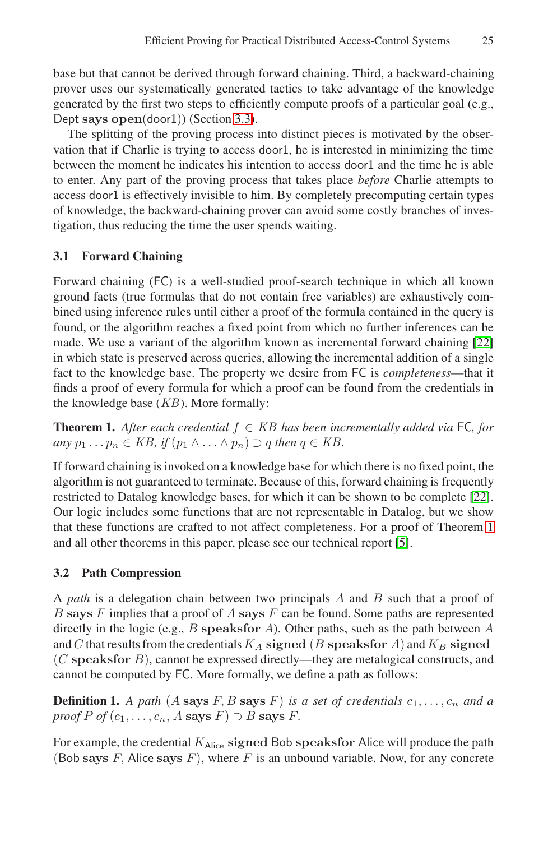base but that cannot be derived through forward chaining. Third, a backward-chaining prover uses our systematically generated tactics to take advantage of the knowledge generated by the first two steps to efficiently compute proofs of a particular goal (e.g., Dept **says open**(door1)) (Section 3.3).

<span id="page-6-1"></span>The splitting of the proving process into distinct pieces is motivated by the observation that if Charlie is trying to access door1, he is interested in minimizing the time between the moment he indicates his intention to access door1 and the time he is able to enter. Any part of the proving process that takes place *before* Charlie attempts to access door1 is effectively invisible to him. By completely precomputing certain types of knowledge, the backward-chaining prover can avoid some costly branches of investigation, thus reducing the time the user spends waiting.

### **3.1 Forward Chaining**

<span id="page-6-2"></span>Forward chaining (FC) is a well-studied proof-search technique in which all known ground facts (true formulas that do not contain free variables) are exhaustively combined using inference rules until either a proof of the formula contained in the query is found, or the algorithm reaches a fixed point from which no further inferences can be made. We use a variant of the algorithm known as incremental forward chaining [22] in which state is preserved across queries, allowing the incremental addition of a single fact to the knowledge base. The property we desire from FC [is](#page-18-6) *completeness*—that it finds a proof of every formula for which a proof can be found from the credentials in the knowledge base  $(KB)$ . More formally:

<span id="page-6-0"></span>**Theorem 1.** After each credential  $f \in KB$  h[as](#page-17-3) been incrementally added via FC, for *any*  $p_1 \t ... p_n \t KB$ , if  $(p_1 \wedge ... \wedge p_n) \supset q$  *then*  $q \in KB$ .

If forward chaining is invoked on a knowledge base for which there is no fixed point, the algorithm is not guaranteed to terminate. Because of this, forward chaining is frequently restricted to Datalog knowledge bases, for which it can be shown to be complete [22]. Our logic includes some functions that are not representable in Datalog, but we show that these functions are crafted to not affect completeness. For a proof of Theorem 1 and all other theorems in this paper, please see our technical report [5].

#### **3.2 Path Compression**

A *path* is a delegation chain between two principals A and B such that a proof of B **says** F implies that a proof of A **says** F can be found. Some paths are represented directly in the logic (e.g., B **speaksfor** A). Other paths, such as the path between A and C that results from the credentials  $K_A$  **signed** (B **speaksfor** A) and  $K_B$  **signed** (C **speaksfor** B), cannot be expressed directly—they are metalogical constructs, and cannot be computed by FC. More formally, we define a path as follows:

**Definition 1.** *A path*  $(A \text{ says } F, B \text{ says } F)$  *is a set of credentials*  $c_1, \ldots, c_n$  *and a proof*  $P$  *of*  $(c_1, \ldots, c_n, A$  **says**  $F$ )  $\supset B$  **says**  $F$ .

For example, the credential KAlice **signed** Bob **speaksfor** Alice will produce the path (Bob **says** F, Alice **says** F), where F is an unbound variable. Now, for any concrete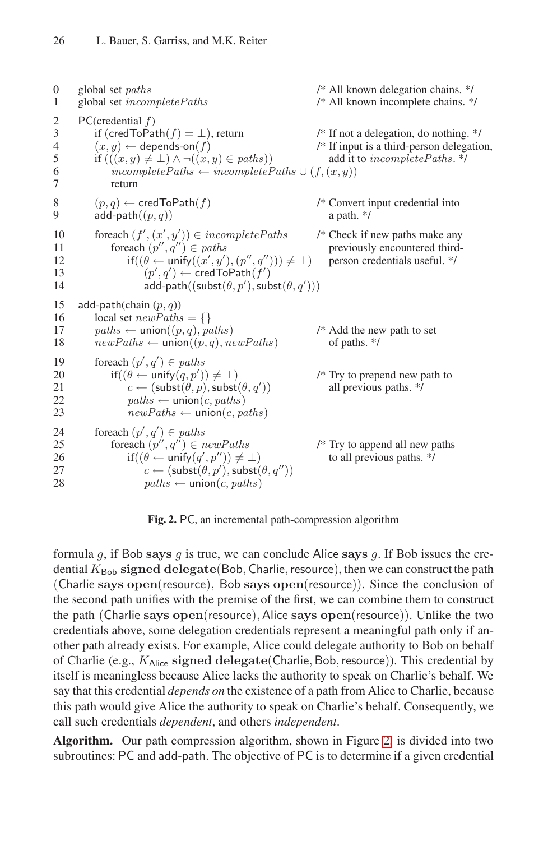```
0 global set paths \frac{1}{2} global set incomplete Paths \frac{1}{2} and \frac{1}{2} all known incomplete chains. \frac{1}{2} and \frac{1}{2} and \frac{1}{2} and \frac{1}{2} and \frac{1}{2} and \frac{1}{2} and \frac{1}{2} and \frac{1}{2} and
                                                                          /* All known incomplete chains. */2 PC(credential f)<br>3 if (cred ToPath(f) = \perp), return
3 if (\text{credToPath}(f) = \bot), return <br>
4 (x, y) \leftarrow depends-on (f) /* If input is a third-person delegation
4 (x,y) \leftarrow depends-on(f) /* If input is a third-person delegation,<br>5 if (((x,y) \neq \bot) \land \neg ((x,y) \in paths)) add it to incompletePaths. */
5 if (((x,y) \neq \bot) \land \neg ((x,y) \in paths))<br>6 incompletePaths \leftarrow incomplete6 incompletePaths ← incompletePaths ∪ (f, (x, y))<br>7 return
                return
8 (p,q) \leftarrow \text{credToPath}(f) /* Convert input credential into add-path((p,q)) a path. */
           \overline{\mathsf{add}\textrm{-path}((p,q))}10 foreach (f', (x', y'))/* Check if new paths make any
11 foreach (p'', q''')previously encountered third-
12 if ((\theta \leftarrow \text{unify}((x', y'), (p'', q''))person credentials useful. */
13 (p', q') \leftarrow \text{credToPath}(f')14 add-path((\textsf{subst}(\theta, p'), \textsf{subst}(\theta, q')))15 add-path(chain (p, q))
16 local set newPaths = \{\}<br>17 paths \leftarrow \text{union}((p, q), p)paths \leftarrow union((p,q), paths) /* Add the new path to set
18 newPaths \leftarrow union((p,q), newPaths) of paths. */
19 foreach (p', q') \in paths20 if((\theta \leftarrow \text{unify}(q, p))/* Try to prepend new path to
21 c \leftarrow (\textsf{subst}(\theta, p), \textsf{subst}(\theta, q'))) all previous paths. */
22 paths \leftarrow union(c, paths)<br>
23 newPaths \leftarrow union(c, pa)newPaths \leftarrow union(c, paths)24 foreach (p', q') \in paths25 for each (p'', q''')/* Try to append all new paths
26 if((\theta \leftarrow \text{unify}(q', p''))to all previous paths. */
27 c \leftarrow (\textsf{subst}(\theta, p'), \textsf{subst}(\theta, q''))28 paths \leftarrow union(c, paths)
```
**Fig. 2.** PC, an incremental path-compression algorithm

<span id="page-7-11"></span><span id="page-7-0"></span>formula g, if Bob **says** g is true, we can conclude Alice **says** g. If Bob issues the credential  $K_{\text{Bob}}$  **signed delegate**(Bob, Charlie, resource), then we can construct the path (Charlie **says open**(resource), Bob **says open**(resource)). Since the conclusion of the second path unifies with the premise of the first, we can combine them to construct the path (Charlie **says open**(resource), Alice **says open**(resource)). Unlike the two credentials above, some delegation credenti[als](#page-7-0) represent a meaningful path only if another path already exists. For example, Alice could delegate authority to Bob on behalf of Charlie (e.g., KAlice **signed delegate**(Charlie, Bob,resource)). This credential by itself is meaningless because Alice lacks the authority to speak on Charlie's behalf. We say that this credential *depends on* the existence of a path from Alice to Charlie, because this path would give Alice the authority to speak on Charlie's behalf. Consequently, we call such credentials *dependent*, and others *independent*.

**Algorithm.** Our path compression algorithm, shown in Figure 2, is divided into two subroutines: PC and add-path. The objective of PC is to determine if a given credential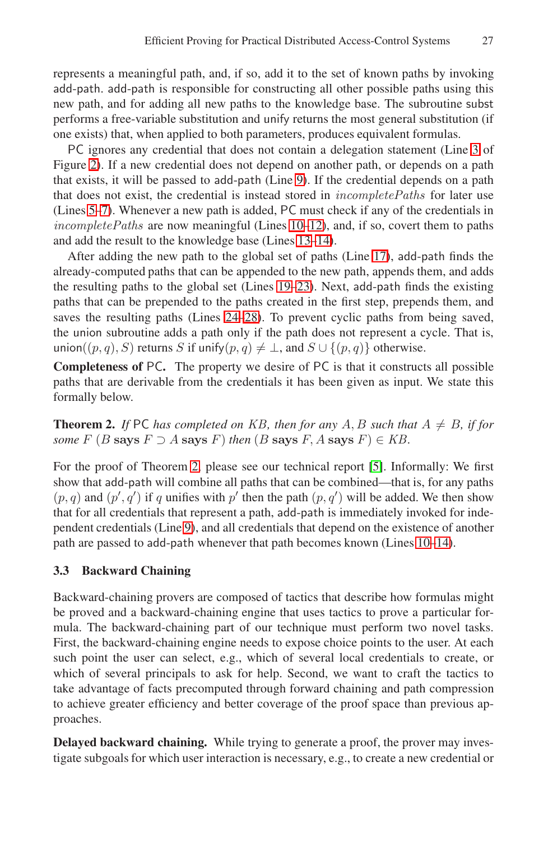represents a meaningful p[ath](#page-7-2), and, if so, add it to the set of known paths by invoking add-path. add-path is responsible for constructing all other possible paths using this new path, and for addin[g all](#page-7-3) [new](#page-7-4) paths to the knowledge base. The subroutine subst performs a free-variable su[bsti](#page-7-5)[tutio](#page-7-6)n and unify returns the most general substitution (if one exists) that, when applied to both par[ame](#page-7-7)ters, produces equivalent formulas.

PC ignores any credential that does not contain a delegation statement (Line 3 of Figure 2). If a new cre[den](#page-7-8)[tial](#page-7-9) does not depend on another path, or depends on a path that exists, it will be passed to add-path (Line 9). If the credential depends on a path that does no[t ex](#page-7-10)[ist,](#page-7-11) the credential is instead stored in incompletePaths for later use (Lines 5–7). Whenever a new path is added, PC must check if any of the credentials in incompletePaths are now meaningful (Lines  $10-12$ ), and, if so, covert them to paths and add the result to the knowledge base (Lines 13–14).

<span id="page-8-1"></span>After adding the new path to the global set of paths (Line 17), add-path finds the already-computed paths that can be appended to the new path, appends them, and adds the resulting paths to the global set (Lines 19–23). Next, add-path finds the existing paths that can be prepended to the paths created in the first step, prepends them, and saves the resulting paths (Lines 24–28). To prevent cyclic paths from being saved, the union subroutine adds a path only if the path does not represent a cycle. That is, union( $(p,q)$ , S) returns S if unify $(p,q) \neq \bot$ , and  $S \cup \{(p,q)\}\$  otherwise.

**Completeness of** PC**.** The property we desire of PC is that it constructs all possible paths that are derivable from the credentials it has been given as input. We state this formally below.

<span id="page-8-0"></span>**Theorem 2.** If PC has completed on KB, then fo[r a](#page-7-3)[ny](#page-7-6) A, B such that  $A \neq B$ , if for *some*  $F(B \text{ says } F \supset A \text{ says } F)$  *then*  $(B \text{ says } F, A \text{ says } F) \in KB$ .

For the proof of Theorem 2, please see our technical report [5]. Informally: We first show that add-path will combine all paths that can be combined—that is, for any paths  $(p, q)$  and  $(p', q')$  if q unifies with p' then the path  $(p, q')$  will be added. We then show that for all credentials that represent a path, add-path is immediately invoked for independent credentials (Line 9), and all credentials that depend on the existence of another path are passed to add-path whenever that path becomes known (Lines 10–14).

#### **3.3 Backward Chaining**

Backward-chaining provers are composed of tactics that describe how formulas might be proved and a backward-chaining engine that uses tactics to prove a particular formula. The backward-chaining part of our technique must perform two novel tasks. First, the backward-chaining engine needs to expose choice points to the user. At each such point the user can select, e.g., which of several local credentials to create, or which of several principals to ask for help. Second, we want to craft the tactics to take advantage of facts precomputed through forward chaining and path compression to achieve greater efficiency and better coverage of the proof space than previous approaches.

**Delayed backward chaining.** While trying to generate a proof, the prover may investigate subgoals for which user interaction is necessary, e.g., to create a new credential or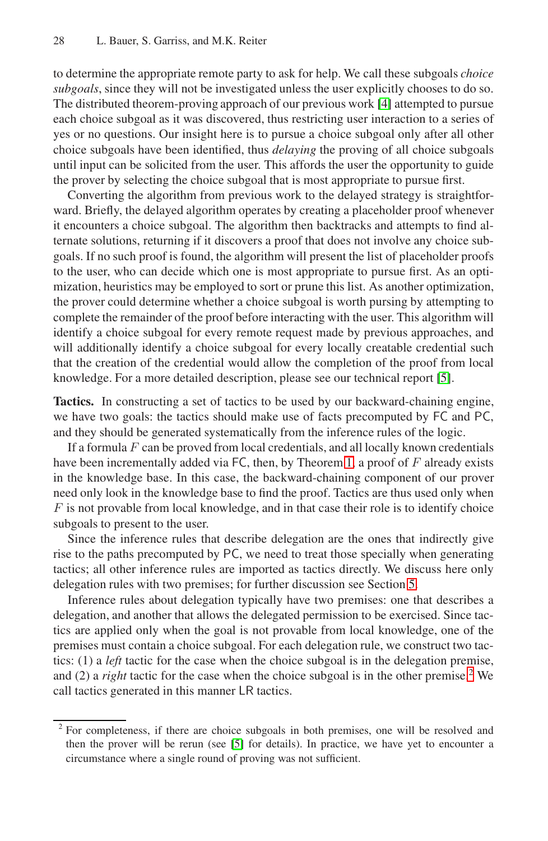to determine the appropriate remote party to ask for help. We call these subgoals *choice subgoals*, since they will not be investigated unless the user explicitly chooses to do so. The distributed theorem-proving approach of our previous work [4] attempted to pursue each choice subgoal as it was discovered, thus restricting user interaction to a series of yes or no questions. Our insight here is to pursue a choice subgoal only after all other choice subgoals have been identified, thus *delaying* the proving of all choice subgoals until input can be solicited from the user. This affords the user the opportunity to guide the prover by selecting the choice subgoal that is most appropriate to pursue first.

<span id="page-9-0"></span>Converting the algorithm from previous work to the delayed strategy is straightforward. Briefly, the delayed algorithm operates by creating a placeholder proof whenever it encounters a choice subgoal. The algorithm then backtracks and attempts to find alternate solutions, returning if it discovers a proof that does not involve any choice subgoals. If no such proof is found, the algorithm will pres[ent](#page-17-3) the list of placeholder proofs to the user, who can decide which one is most appropriate to pursue first. As an optimization, heuristics may be employed to sort or prune this list. As another optimization, the prover could determine whether a choice subgoal is worth pursing by attempting to complete the remainder of the proof before interacting with the user. This algorithm will identify a choice subgoal for every remote request made by previous approaches, and will additionally identify a choice s[ub](#page-6-2)goal for every locally creatable credential such that the creation of the credential would allow the completion of the proof from local knowledge. For a more detailed description, please see our technical report [5].

**Tactics.** In constructing a set of tactics to be used by our backward-chaining engine, we have two goals: the tactics should make use of facts precomputed by FC and PC, and they should be generated systematically from the inference rules of the logic.

If a formula  $F$  can be proved from local credentials, and all locally known credentials have been incrementally added via FC, then, by [The](#page-15-0)orem 1, a proof of  $F$  already exists in the knowledge base. In this case, the backward-chaining component of our prover need only look in the knowledge base to find the proof. Tactics are thus used only when  $F$  is not provable from local knowledge, and in that case their role is to identify choice subgoals to present to the user.

Since the inference rules that describe delegation are the ones that indirectly give rise to the paths precomputed by PC, we need to treat those [sp](#page-9-1)ecially when generating tactics; all other inference rules are imported as tactics directly. We discuss here only delegation rules with two premises; for further discussion see Section 5.

<span id="page-9-1"></span>Inference rules about delegation typically have two premises: one that describes a delegation, and another that allows the delegated permission to be exercised. Since tactics are applie[d](#page-17-3) [o](#page-17-3)nly when the goal is not provable from local knowledge, one of the premises must contain a choice subgoal. For each delegation rule, we construct two tactics: (1) a *left* tactic for the case when the choice subgoal is in the delegation premise, and (2) a *right* tactic for the case when the choice subgoal is in the other premise.2 We call tactics generated in this manner LR tactics.

<sup>&</sup>lt;sup>2</sup> For completeness, if there are choice subgoals in both premises, one will be resolved and then the prover will be rerun (see [5] for details). In practice, we have yet to encounter a circumstance where a single round of proving was not sufficient.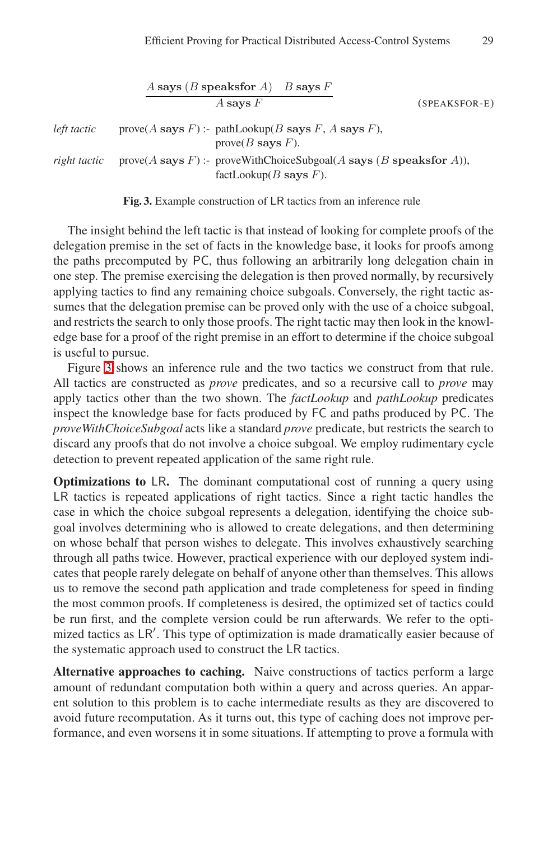<span id="page-10-0"></span>

|              | A says $(B$ speaksfor $A$ $B$ says $F$                                                    |                                                                                 |  |
|--------------|-------------------------------------------------------------------------------------------|---------------------------------------------------------------------------------|--|
|              | A says $F$                                                                                | (SPEAKSFOR-E)                                                                   |  |
| left tactic  | prove $(A$ says $F)$ :- pathLookup $(B$ says $F, A$ says $F$ ),<br>prove $(B$ says $F$ ). |                                                                                 |  |
| right tactic | factLookup( $B$ says $F$ ).                                                               | prove $(A$ says $F)$ :- proveWithChoiceSubgoal $(A$ says $(B$ speaksfor $A)$ ), |  |

**Fig. 3.** Example construction of LR tactics from an inference rule

The insight behind the left tactic is that instead of looking for complete proofs of the delegation premise in the set of facts in the knowledge base, it looks for proofs among the paths precomputed by PC, thus following an arbitrarily long delegation chain in one step. The premise exercising the delegation is then proved normally, by recursively applying tactics to find any remaining choice subgoals. Conversely, the right tactic assumes that the delegation premise can be proved only with the use of a choice subgoal, and restricts the search to only those proofs. The right tactic may then look in the knowledge base for a proof of the right premise in an effort to determine if the choice subgoal is useful to pursue.

Figure 3 shows an inference rule and the two tactics we construct from that rule. All tactics are constructed as *prove* predicates, and so a recursive call to *prove* may apply tactics other than the two shown. The *factLookup* and *pathLookup* predicates inspect the knowledge base for facts produced by FC and paths produced by PC. The *proveWithChoiceSubgoal* acts like a standard *prove* predicate, but restricts the search to discard any proofs that do not involve a choice subgoal. We employ rudimentary cycle detection to prevent repeated application of the same right rule.

**Optimizations to** LR**.** The dominant computational cost of running a query using LR tactics is repeated applications of right tactics. Since a right tactic handles the case in which the choice subgoal represents a delegation, identifying the choice subgoal involves determining who is allowed to create delegations, and then determining on whose behalf that person wishes to delegate. This involves exhaustively searching through all paths twice. However, practical experience with our deployed system indicates that people rarely delegate on behalf of anyone other than themselves. This allows us to remove the second path application and trade completeness for speed in finding the most common proofs. If completeness is desired, the optimized set of tactics could be run first, and the complete version could be run afterwards. We refer to the optimized tactics as LR'. This type of optimization is made dramatically easier because of the systematic approach used to construct the LR tactics.

**Alternative approaches to caching.** Naive constructions of tactics perform a large amount of redundant computation both within a query and across queries. An apparent solution to this problem is to cache intermediate results as they are discovered to avoid future recomputation. As it turns out, this type of caching does not improve performance, and even worsens it in some situations. If attempting to prove a formula with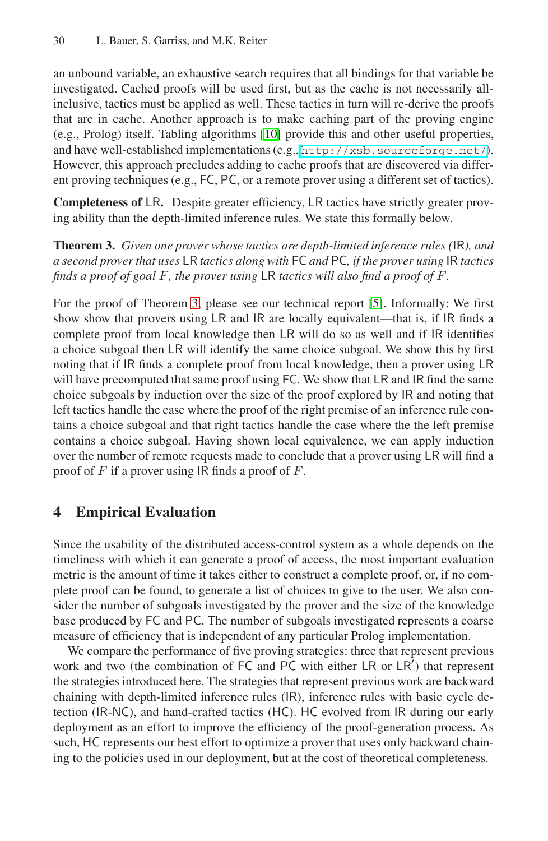<span id="page-11-0"></span>an unbound variable, an exhaustive search requires that all bindings for that variable be investigated. Cached proofs will be used first, but as the cache is not necessarily allinclusive, tactics must be applied as well. These tactics in turn will re-derive the proofs that are in cache. Another approach is to make caching part of the proving engine (e.g., Prolog) itself. Tabling algorithms [10] provide this and other useful properties, and have well-established implementations (e.g., http://xsb.sourceforge.net/). However, this approach precludes adding to cache proofs that are discovered via different pr[ov](#page-11-0)ing techniques (e.g., FC, PC, or a [rem](#page-17-3)ote prover using a different set of tactics).

**Completeness of** LR**.** Despite greater efficiency, LR tactics have strictly greater proving ability than the depth-limited inference rules. We state this formally below.

**Theorem 3.** *Given one prover whose tactics are depth-limited inference rules (*IR*), and a second prover that uses* LR *tactics along with* FC *and* PC*, if the prover using* IR *tactics finds a proof of goal* F*, the prover using* LR *tactics will also find a proof of* F*.*

For the proof of Theorem 3, please see our technical report [5]. Informally: We first show show that provers using LR and IR are locally equivalent—that is, if IR finds a complete proof from local knowledge then LR will do so as well and if IR identifies a choice subgoal then LR will identify the same choice subgoal. We show this by first noting that if IR finds a complete proof from local knowledge, then a prover using LR will have precomputed that same proof using FC. We show that LR and IR find the same choice subgoals by induction over the size of the proof explored by IR and noting that left tactics handle the case where the proof of the right premise of an inference rule contains a choice subgoal and that right tactics handle the case where the the left premise contains a choice subgoal. Having shown local equivalence, we can apply induction over the number of remote requests made to conclude that a prover using LR will find a proof of  $F$  if a prover using IR finds a proof of  $F$ .

# **4 Empirical Evaluation**

Since the usability of the distributed access-control system as a whole depends on the timeliness with which it can generate a proof of access, the most important evaluation metric is the amount of time it takes either to construct a complete proof, or, if no complete proof can be found, to generate a list of choices to give to the user. We also consider the number of subgoals investigated by the prover and the size of the knowledge base produced by FC and PC. The number of subgoals investigated represents a coarse measure of efficiency that is independent of any particular Prolog implementation.

We compare the performance of five proving strategies: three that represent previous work and two (the combination of  $FC$  and  $PC$  with either  $LR$  or  $LR'$ ) that represent the strategies introduced here. The strategies that represent previous work are backward chaining with depth-limited inference rules (IR), inference rules with basic cycle detection (IR-NC), and hand-crafted tactics (HC). HC evolved from IR during our early deployment as an effort to improve the efficiency of the proof-generation process. As such, HC represents our best effort to optimize a prover that uses only backward chaining to the policies used in our deployment, but at the cost of theoretical completeness.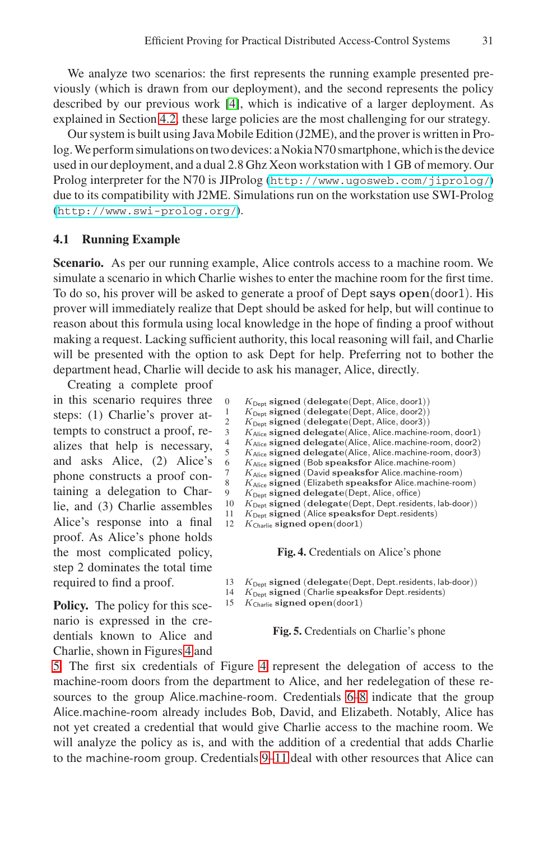We analyze two s[cenarios:](http://www.ugosweb.com/jiprolog/) [the](http://www.ugosweb.com/jiprolog/) [first](http://www.ugosweb.com/jiprolog/) [represents](http://www.ugosweb.com/jiprolog/) [the](http://www.ugosweb.com/jiprolog/) [running](http://www.ugosweb.com/jiprolog/) [exa](http://www.ugosweb.com/jiprolog/)mple presented pre[viously \(which](http://www.swi-prolog.org/) is drawn from our deployment), and the second represents the policy described by our previous work [4], which is indicative of a larger deployment. As explained in Section 4.2, these large policies are the most challenging for our strategy.

<span id="page-12-0"></span>Our system is built using Java Mobile Edition (J2ME), and the prover is written in Prolog. We perform simulations on two devices: a Nokia N70 smartphone, which is the device used in our deployment, and a dual 2.8 Ghz Xeon workstation with 1 GB of memory. Our Prolog interpreter for the N70 is JIProlog (http://www.ugosweb.com/jiprolog/) due to its compatibility with J2ME. Simulations run on the workstation use SWI-Prolog (http://www.swi-prolog.org/).

#### **4.1 Running Example**

**Scenario.** As per our running example, Alice controls access to a machine room. We simulate a scenario in which Charlie wishes to enter the machine room for the first time. To do so, his prover will be asked to generate a proof of Dept **says open**(door1). His prover will immediately realize that Dept should be asked for help, but will continue to reason about this formula using local knowledge in the hope of finding a proof without making a request. Lacking sufficient authority, this local reasoning will fail, and Charlie will be presented with the option to ask Dept for help. Preferring not to bother the department head, Charlie will decide to ask his manager, Alice, directly.

Creating a complete proof in this scenario requires three steps: (1) Charlie's prover at-

<span id="page-12-1"></span>tempts to construct a proof, realizes that help is necessary, and asks Alice, (2) Alice's phone constructs a proof containing a delegation to Charlie, and (3) Charlie assembles Alice's response into a final proo[f.](#page-12-1) As Alice's phone holds the most complic[ate](#page-12-1)d policy, step 2 dominates the total time required to find a proof.

<span id="page-12-2"></span>**Policy.** The policy for this scenario is expressed in the credentials known to [A](#page-7-2)[lice](#page-7-14) and Charlie, shown in Figures 4 and  $K_{\text{Depth}}$  **signed** (**delegate**(Dept, Alice, door1))  $K<sub>Det</sub>$  **signed** (**delegate**(Dept, Alice, door2))  $K_{\text{Depth}}$  **signed** (**delegate**(Dept, Alice, door3))

- 3 KAlice **signed delegate**(Alice, Alice.machine-room, door1)
- 4 KAlice **signed delegate**(Alice, Alice.machine-room, door2)
- $K_\mathsf{Alice}$  signed delegate $(\mathsf{Alice}, \mathsf{Alice}$  machine-room, door $3)$  $K_{Alice}$  signed (Bob speaksfor Alice.machine-room)
- $K_{Alice}$  signed (David speaksfor Alice.machine-room)
- $K_{Alice}$  signed (Elizabeth speaksfor Alice.machine-room)
- 
- 9 KDept **signed delegate**(Dept, Alice, office)  $K_{\text{Depth}}$  **signed** (**delegate**(Dept, Dept.residents, lab-door))
- 11 K<sub>Dept</sub> signed (Alice **speaksfor** Dept.residents)<br>12 K<sub>Charlie</sub> **signed open**(door1)
	- $K_{\text{Charlie}}$  signed open(door1)

#### **Fig. 4.** Credentials on Alice's phone

13 [K](#page-7-12)[Dep](#page-7-13)t **signed** (**delegate**(Dept, Dept.residents, lab-door))

- 14 KDept **signed** (Charlie **speaksfor** Dept.residents)
- 15 KCharlie **signed open**(door1)

#### **Fig. 5.** Credentials on Charlie's phone

5. The first six credentials of Figure 4 represent the delegation of access to the machine-room doors from the department to Alice, and her redelegation of these resources to the group Alice.machine-room. Credentials 6–8 indicate that the group Alice.machine-room already includes Bob, David, and Elizabeth. Notably, Alice has not yet created a credential that would give Charlie access to the machine room. We will analyze the policy as is, and with the addition of a credential that adds Charlie to the machine-room group. Credentials 9–11 deal with other resources that Alice can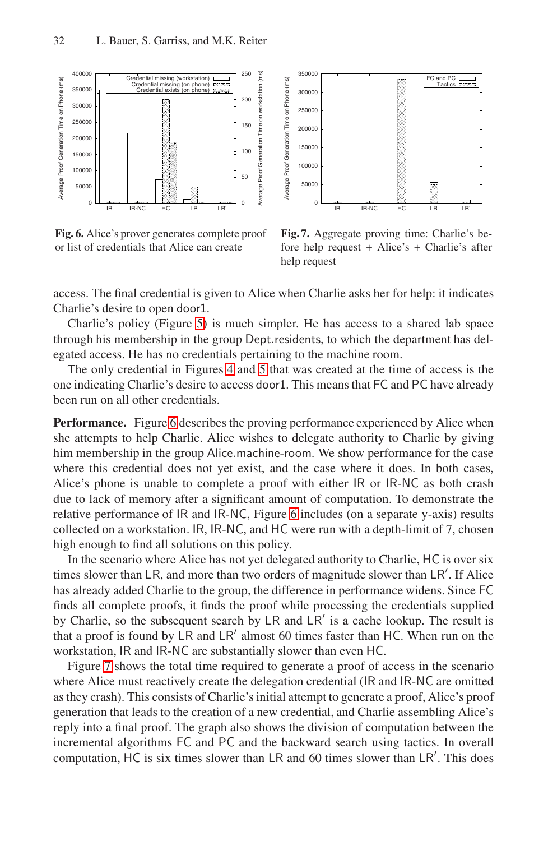<span id="page-13-0"></span>



**Fig. 6.** Alice's prover generates complete proof or list of cred[ent](#page-12-1)ials t[ha](#page-12-2)t Alice can create

**Fig. 7.** Aggregate proving time: Charlie's before help request + Alice's + Charlie's after help request

access. The final credential is given to Alice when Charlie asks her for help: it indicates C[ha](#page-13-0)rlie's desire to open door1.

Charlie's policy (Figure 5) is much simpler. He has access to a shared lab space through his membership in the group Dept.residents, to which the department has delegated access. He has no credentials pertaining to the machine room.

The only credential in Figures 4 and 5 that was created at the time of access is the one indicating Charlie's desire to access door1. This means that FC and PC have already been run on all other cred[en](#page-13-0)tials.

**Performance.** Figure 6 describes the proving performance experienced by Alice when she attempts to help Charlie. Alice wishes to delegate authority to Charlie by giving him membership in the group Alice.machine-room. We show performance for the case where this credential does not yet exist, and the case where it does. In both cases, Alice's phone is unable to complete a proof with either IR or IR-NC as both crash due to lack of memory after a significant amount of computation. To demonstrate the relative performance of IR and IR-NC, Figure 6 includes (on a separate y-axis) results collected on a workstation. IR, IR-NC, and HC were run with a depth-limit of 7, chosen high enough to find all solutions on this policy.

In the scenario where Alice has not yet delegated authority to Charlie, HC is over six times slower than LR, and more than two orders of magnitude slower than LR'. If Alice has already added Charlie to the group, the difference in performance widens. Since FC finds all complete proofs, it finds the proof while processing the credentials supplied by Charlie, so the subsequent search by  $LR$  and  $LR'$  is a cache lookup. The result is that a proof is found by LR and LR' almost 60 times faster than HC. When run on the workstation, IR and IR-NC are substantially slower than even HC.

Figure 7 shows the total time required to generate a proof of access in the scenario where Alice must reactively create the delegation credential (IR and IR-NC are omitted as they crash). This consists of Charlie's initial attempt to generate a proof, Alice's proof generation that leads to the creation of a new credential, and Charlie assembling Alice's reply into a final proof. The graph also shows the division of computation between the incremental algorithms FC and PC and the backward search using tactics. In overall computation, HC is six times slower than  $LR$  and 60 times slower than  $LR'$ . This does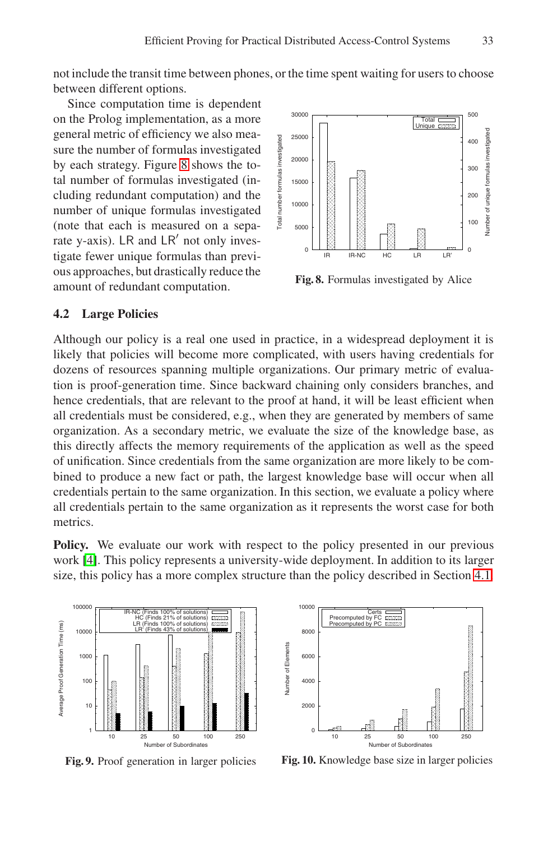not include the transit time between phones, or the time spent waiting for users to choose between different options.

<span id="page-14-0"></span>Since computation time is dependent on the Prolog implementation, as a more general metric of efficiency we also measure the number of formulas investigated by each strategy. Figure 8 shows the total number of formulas investigated (including redundant computation) and the number of unique formulas investigated (note that each is measured on a separate y-axis).  $LR$  and  $LR'$  not only investigate fewer unique formulas than previous approaches, but drastically reduce the amount of redundant computation.



**Fig. 8.** Formulas investigated by Alice

#### **4.2 Large Policies**

Although our policy is a real one used in practice, in a widespread deployment it is likely that policies will become more complicated, with users having credentials for dozens of resources spanning multiple organizations. Our primary metric of evaluation is proof-generation time. Since backward chaining only considers branches, and hence credentials, that are relevant to the proof at hand, it will be least efficient when all credentials must be considered, e.g., when they are generated by members of same organization. As a secondary metric, we evaluate the size of the knowledge base, as this directly affects the memory requirements of the application as well as the speed of unification. Since credentials from the same organization a[re](#page-12-0) [m](#page-12-0)ore likely to be combined to produce a new fact or path, the largest knowledge base will occur when all credentials pertain to the same organization. In this section, we evaluate a policy where all credentials pertain to the same organization as it represents the worst case for both metrics.

**Policy.** We evaluate our work with respect to the policy presented in our previous work [4]. This policy represents a university-wide deployment. In addition to its larger size, this policy has a more complex structure than the policy described in Section 4.1.

<span id="page-14-2"></span><span id="page-14-1"></span>

**Fig. 9.** Proof generation in larger policies



**Fig. 10.** Knowledge base size in larger policies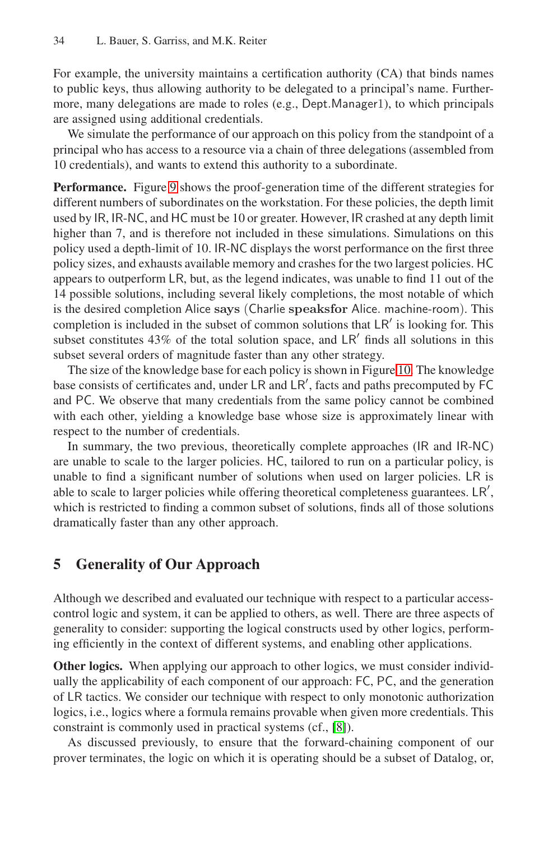F[or](#page-14-1) example, the university maintains a certification authority (CA) that binds names to public keys, thus allowing authority to be delegated to a principal's name. Furthermore, many delegations are made to roles (e.g., Dept.Manager1), to which principals are assigned using additional credentials.

We simulate the performance of our approach on this policy from the standpoint of a principal who has access to a resource via a chain of three delegations (assembled from 10 credentials), and wants to extend this authority to a subordinate.

**Performance.** Figure 9 shows the proof-generation time of the different strategies for different numbers of subordinates on the workstation. For these policies, the depth limit used by IR, IR-NC, and HC must be 10 or greater. However, IR crashed at any depth limit higher than 7, and is therefore not included in these simulations. Simulations on this policy used a depth-limit of 10. IR-NC display[s the](#page-14-2) worst performance on the first three policy sizes, and exhausts available memory and crashes for the two largest policies. HC appears to outperform LR, but, as the legend indicates, was unable to find 11 out of the 14 possible solutions, including several likely completions, the most notable of which is the desired completion Alice **says** (Charlie **speaksfor** Alice. machine-room). This completion is included in the subset of common solutions that  $LR'$  is looking for. This subset constitutes  $43\%$  of the total solution space, and  $LR'$  finds all solutions in this subset several orders of magnitude faster than any other strategy.

The size of the knowledge base for each policy is shown in Figure 10. The knowledge base consists of certificates and, under  $LR$  and  $LR'$ , facts and paths precomputed by FC and PC. We observe that many credentials from the same policy cannot be combined with each other, yielding a knowledge base whose size is approximately linear with respect to the number of credentials.

<span id="page-15-0"></span>In summary, the two previous, theoretically complete approaches (IR and IR-NC) are unable to scale to the larger policies. HC, tailored to run on a particular policy, is unable to find a significant number of solutions when used on larger policies. LR is able to scale to larger policies while offering theoretical completeness guarantees.  $LR',$ which is restricted to finding a common subset of solutions, finds all of those solutions dramatically faster than any other approach.

# **5 Generality of Our Approach**

Although we described and evaluated our technique with respect to a particular accesscontrol logic and system, it can be [ap](#page-17-4)plied to others, as well. There are three aspects of generality to consider: supporting the logical constructs used by other logics, performing efficiently in the context of different systems, and enabling other applications.

**Other logics.** When applying our approach to other logics, we must consider individually the applicability of each component of our approach: FC, PC, and the generation of LR tactics. We consider our technique with respect to only monotonic authorization logics, i.e., logics where a formula remains provable when given more credentials. This constraint is commonly used in practical systems (cf., [8]).

As discussed previously, to ensure that the forward-chaining component of our prover terminates, the logic on which it is operating should be a subset of Datalog, or,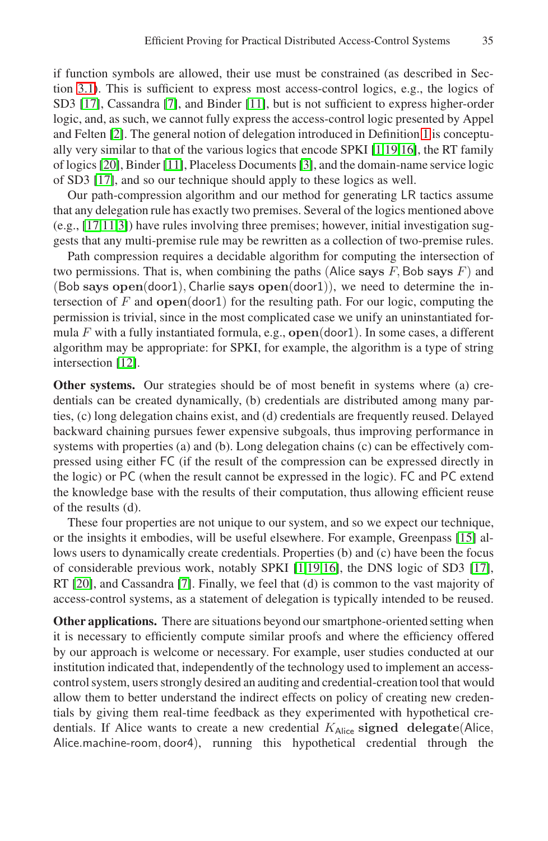if function symbols are allowed, their use must be constrained (as described in Section 3.1). This is sufficient to express most access-control logics, e.g., the logics of SD3 [17], Cassandra [7], and Binder [11], but is not sufficient to express higher-order logic, and, as such, we cannot fully express the access-control logic presented by Appel and Felten [2]. The general notion of delegation introduced in Definition 1 is conceptually very similar to that of the various logics that encode SPKI [1,19,16], the RT family of logics [20], Binder [11], Placeless Documents [3], and the domain-name service logic of SD3 [17], and so our technique should apply to these logics as well.

Our path-compression algorithm and our method for generating LR tactics assume that any delegation rule has exactly two premises. Several of the logics mentioned above (e.g., [17,11,3]) have rules involving three premises; however, initial investigation suggests that any multi-premise rule may be rewritten as a collection of two-premise rules.

Path compression requires a decidable algorithm for computing the intersection of two permissions. That is, when combining the paths (Alice says  $F$ , Bob says  $F$ ) and (Bob **says open**(door1), Charlie **says open**(door1)), we need to determine the intersection of F and **open**(door1) for the resulting path. For our logic, computing the permission is trivial, since in the most complicated case we unify an uninstantiated formula F with a fully instantiated formula, e.g., **open**(door1). In some cases, a different algorithm may be appropriate: for SPKI, for example, the algorithm is a type of string intersection [12].

**Other systems.** Our strategies should be of most benefit in systems where (a) credentials can be created dynamically, (b) credentials are distributed among many parties, (c) long delegation chains exist, and (d) credentials ar[e fre](#page-18-7)quently reused. Delayed backward chaining pursues fewer expensive subgoals, thus improving performance in systems with properties (a) [a](#page-17-5)[nd](#page-18-1) [\(b\).](#page-18-2) Long delegation chains ([c\) ca](#page-18-8)n be effectively compre[sse](#page-17-7)d using either FC (if the result of the compression can be expressed directly in the logic) or PC (when the result cannot be expressed in the logic). FC and PC extend the knowledge base with the results of their computation, thus allowing efficient reuse of the results (d).

These four properties are not unique to our system, and so we expect our technique, or the insights it embodies, will be useful elsewhere. For example, Greenpass [15] allows users to dynamically create credentials. Properties (b) and (c) have been the focus of considerable previous work, notably SPKI [1,19,16], the DNS logic of SD3 [17], RT [20], and Cassandra [7]. Finally, we feel that (d) is common to the vast majority of access-control systems, as a statement of delegation is typically intended to be reused.

**Other applications.** There are situations beyond our smartphone-oriented setting when it is necessary to efficiently compute similar proofs and where the efficiency offered by our approach is welcome or necessary. For example, user studies conducted at our institution indicated that, independently of the technology used to implement an accesscontrol system, users strongly desired an auditing and credential-creation tool that would allow them to better understand the indirect effects on policy of creating new credentials by giving them real-time feedback as they experimented with hypothetical credentials. If Alice wants to create a new credential KAlice **signed delegate**(Alice, Alice.machine-room, door4), running this hypothetical credential through the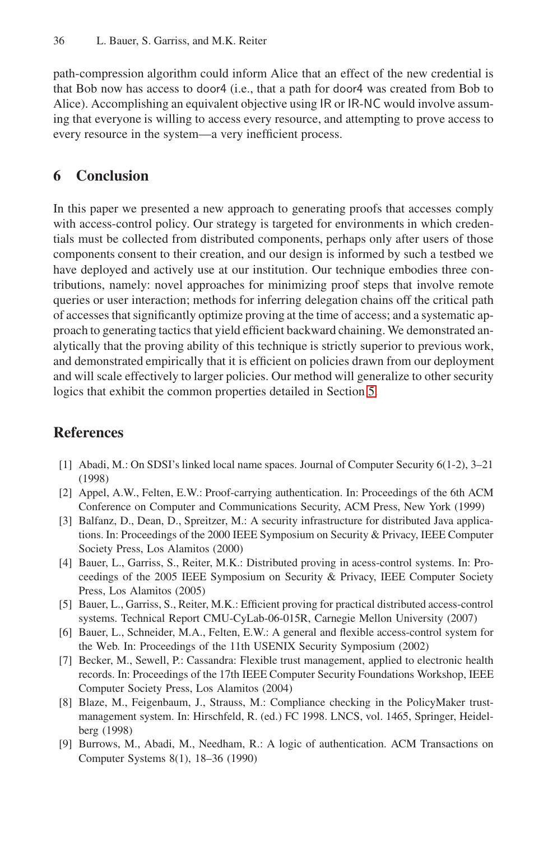path-compression algorithm could inform Alice that an effect of the new credential is that Bob now has access to door4 (i.e., that a path for door4 was created from Bob to Alice). Accomplishing an equivalent objective using IR or IR-NC would involve assuming that everyone is willing to access every resource, and attempting to prove access to every resource in the system—a very inefficient process.

# **6 Conclusion**

In this paper we presented a new approach to generating proofs that accesses comply with access-control policy. Our strategy is targeted for environments in which credentials must be collected from distributed components, perhaps only after users of those components consent to their creation, and our design is informed by such a testbed we have deployed and actively use at our i[nst](#page-15-0)itution. Our technique embodies three contributions, namely: novel approaches for minimizing proof steps that involve remote queries or user interaction; methods for inferring delegation chains off the critical path of accesses that significantly optimize proving at the time of access; and a systematic approach to generating tactics that yield efficient backward chaining. We demonstrated analytically that the proving ability of this technique is strictly superior to previous work, and demonstrated empirically that it is efficient on policies drawn from our deployment and will scale effectively to larger policies. Our method will generalize to other security logics that exhibit the common properties detailed in Section 5.

# <span id="page-17-6"></span><span id="page-17-5"></span><span id="page-17-2"></span>**References**

- <span id="page-17-3"></span>[1] Abadi, M.: On SDSI's linked local name spaces. Journal of Computer Security 6(1-2), 3–21 (1998)
- <span id="page-17-1"></span>[2] Appel, A.W., Felten, E.W.: Proof-carrying authentication. In: Proceedings of the 6th ACM Conference on Computer and Communications Security, ACM Press, New York (1999)
- <span id="page-17-7"></span>[3] Balfanz, D., Dean, D., Spreitzer, M.: A security infrastructure for distributed Java applications. In: Proceedings of the 2000 IEEE Symposium on Security & Privacy, IEEE Computer Society Press, Los Alamitos (2000)
- <span id="page-17-4"></span>[4] Bauer, L., Garriss, S., Reiter, M.K.: Distributed proving in acess-control systems. In: Proceedings of the 2005 IEEE Symposium on Security & Privacy, IEEE Computer Society Press, Los Alamitos (2005)
- <span id="page-17-0"></span>[5] Bauer, L., Garriss, S., Reiter, M.K.: Efficient proving for practical distributed access-control systems. Technical Report CMU-CyLab-06-015R, Carnegie Mellon University (2007)
- [6] Bauer, L., Schneider, M.A., Felten, E.W.: A general and flexible access-control system for the Web. In: Proceedings of the 11th USENIX Security Symposium (2002)
- [7] Becker, M., Sewell, P.: Cassandra: Flexible trust management, applied to electronic health records. In: Proceedings of the 17th IEEE Computer Security Foundations Workshop, IEEE Computer Society Press, Los Alamitos (2004)
- [8] Blaze, M., Feigenbaum, J., Strauss, M.: Compliance checking in the PolicyMaker trustmanagement system. In: Hirschfeld, R. (ed.) FC 1998. LNCS, vol. 1465, Springer, Heidelberg (1998)
- [9] Burrows, M., Abadi, M., Needham, R.: A logic of authentication. ACM Transactions on Computer Systems 8(1), 18–36 (1990)